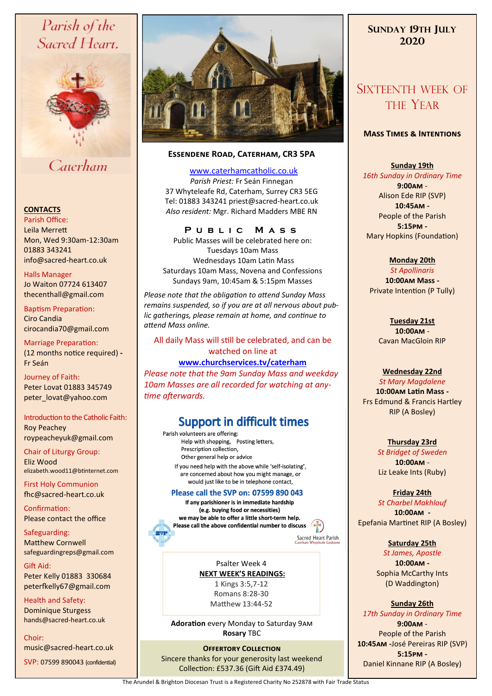# Parish of the Sacred Heart,



# Caterham

#### **CONTACTS**

Parish Office: Leila Merrett Mon, Wed 9:30am-12:30am 01883 343241 info@sacred-heart.co.uk .

Halls Manager Jo Waiton 07724 613407 thecenthall@gmail.com

Baptism Preparation: Ciro Candia cirocandia70@gmail.com

Marriage Preparation: (12 months notice required) **-** Fr Seán

Journey of Faith: Peter Lovat 01883 345749 peter\_lovat@yahoo.com

# Introduction to the Catholic Faith:

Roy Peachey roypeacheyuk@gmail.com

Chair of Liturgy Group: Eliz Wood elizabeth.wood11@btinternet.com

First Holy Communion fhc@sacred-heart.co.uk

Confirmation: Please contact the office

Safeguarding: Matthew Cornwell safeguardingreps@gmail.com

Gift Aid: Peter Kelly 01883 330684 peterfkelly67@gmail.com

Health and Safety: Dominique Sturgess hands@sacred-heart.co.uk

Choir:

music@sacred-heart.co.uk

SVP: 07599 890043 (confidential)



#### **Essendene Road, Caterham, CR3 5PA**

[www.caterhamcatholic.co.uk](http://Www.caterhamcatholic.co.uk)

*Parish Priest:* Fr Seán Finnegan 37 Whyteleafe Rd, Caterham, Surrey CR3 5EG Tel: 01883 343241 priest@sacred-heart.co.uk *Also resident:* Mgr. Richard Madders MBE RN

## **P u b l i c M a s s**

Public Masses will be celebrated here on: Tuesdays 10am Mass Wednesdays 10am Latin Mass Saturdays 10am Mass, Novena and Confessions Sundays 9am, 10:45am & 5:15pm Masses

*Please note that the obligation to attend Sunday Mass remains suspended, so if you are at all nervous about public gatherings, please remain at home, and continue to attend Mass online.*

#### All daily Mass will still be celebrated, and can be watched on line at

#### **[www.churchservices.tv/caterham](http://www.churchservices.tv/caterham)**

*Please note that the 9am Sunday Mass and weekday 10am Masses are all recorded for watching at anytime afterwards.*

# **Support in difficult times**

Parish volunteers are offering: Help with shopping, Posting letters, Prescription collection, Other general help or advice If you need help with the above while 'self-isolating', are concerned about how you might manage, or would just like to be in telephone contact,

#### Please call the SVP on: 07599 890 043

If any parishioner is in immediate hardship (e.g. buying food or necessities) we may be able to offer a little short-term help. Please call the above confidential number to discuss  $\sqrt{2\pi}$ 

Sacred Heart Parish

Psalter Week 4 **NEXT WEEK'S READINGS:**  1 Kings 3:5,7-12 Romans 8:28-30 Matthew 13:44-52

**Adoration** every Monday to Saturday 9am **Rosary** TBC

**OFFERTORY COLLECTION** Sincere thanks for your generosity last weekend Collection: £537.36 (Gift Aid £374.49)

# **SUNDAY 19TH JULY 2020**

# SIXTEENTH WEEK OF THE YEAR

#### **Mass Times & Intentions**

#### **Sunday 19th**

*16th Sunday in Ordinary Time* **9:00am** - Alison Ede RIP (SVP) **10:45am -** People of the Parish **5:15pm -** Mary Hopkins (Foundation)

#### **Monday 20th**

*St Apollinaris* **10:00am Mass -** Private Intention (P Tully)

> **Tuesday 21st 10:00am** - Cavan MacGloin RIP

#### **Wednesday 22nd**

*St Mary Magdalene* **10:00am Latin Mass -** Frs Edmund & Francis Hartley RIP (A Bosley)

#### **Thursday 23rd**

*St Bridget of Sweden* **10:00am** - Liz Leake Ints (Ruby)

**Friday 24th** *St Charbel Makhlouf* **10:00am -**

Epefania Martinet RIP (A Bosley)

#### **Saturday 25th**

*St James, Apostle* **10:00am -**  Sophia McCarthy Ints (D Waddington)

#### **Sunday 26th**

*17th Sunday in Ordinary Time*

**9:00am** - People of the Parish **10:45am -**José Pereiras RIP (SVP) **5:15pm -** Daniel Kinnane RIP (A Bosley)

The Arundel & Brighton Diocesan Trust is a Registered Charity No 252878 with Fair Trade Status